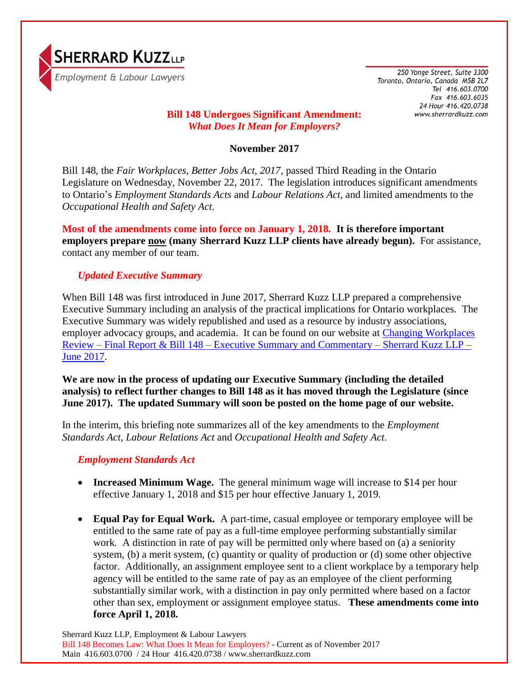

250 Yonge Street, Suite 3300 Toronto, Ontario, Canada M5B 2L7 Tel 416.603.0700 Fax 416.603.6035 24 Hour 416.420.0738 www.sherrardkuzz.com

# **Bill 148 Undergoes Significant Amendment:**  *What Does It Mean for Employers?*

### **November 2017**

Bill 148, the *Fair Workplaces, Better Jobs Act, 2017*, passed Third Reading in the Ontario Legislature on Wednesday, November 22, 2017. The legislation introduces significant amendments to Ontario's *Employment Standards Acts* and *Labour Relations Act*, and limited amendments to the *Occupational Health and Safety Act*.

**Most of the amendments come into force on January 1, 2018. It is therefore important employers prepare now (many Sherrard Kuzz LLP clients have already begun).** For assistance, contact any member of our team.

## *Updated Executive Summary*

When Bill 148 was first introduced in June 2017, Sherrard Kuzz LLP prepared a comprehensive Executive Summary including an analysis of the practical implications for Ontario workplaces. The Executive Summary was widely republished and used as a resource by industry associations, employer advocacy groups, and academia. It can be found on our website at [Changing Workplaces](http://www.sherrardkuzz.com/pdf/20170609_cwr_and_bill_148_executive_summary.pdf)  Review – Final Report & Bill 148 – [Executive Summary and Commentary –](http://www.sherrardkuzz.com/pdf/20170609_cwr_and_bill_148_executive_summary.pdf) Sherrard Kuzz LLP – [June 2017.](http://www.sherrardkuzz.com/pdf/20170609_cwr_and_bill_148_executive_summary.pdf)

**We are now in the process of updating our Executive Summary (including the detailed analysis) to reflect further changes to Bill 148 as it has moved through the Legislature (since June 2017). The updated Summary will soon be posted on the home page of our website.**

In the interim, this briefing note summarizes all of the key amendments to the *Employment Standards Act, Labour Relations Act* and *Occupational Health and Safety Act*.

## *Employment Standards Act*

- **Increased Minimum Wage.** The general minimum wage will increase to \$14 per hour effective January 1, 2018 and \$15 per hour effective January 1, 2019.
- **Equal Pay for Equal Work.** A part-time, casual employee or temporary employee will be entitled to the same rate of pay as a full-time employee performing substantially similar work. A distinction in rate of pay will be permitted only where based on (a) a seniority system, (b) a merit system, (c) quantity or quality of production or (d) some other objective factor. Additionally, an assignment employee sent to a client workplace by a temporary help agency will be entitled to the same rate of pay as an employee of the client performing substantially similar work, with a distinction in pay only permitted where based on a factor other than sex, employment or assignment employee status. **These amendments come into force April 1, 2018.**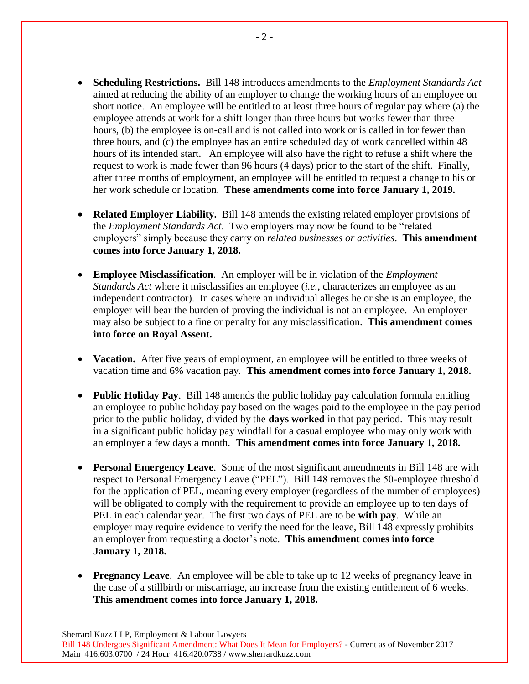- **Scheduling Restrictions.** Bill 148 introduces amendments to the *Employment Standards Act* aimed at reducing the ability of an employer to change the working hours of an employee on short notice. An employee will be entitled to at least three hours of regular pay where (a) the employee attends at work for a shift longer than three hours but works fewer than three hours, (b) the employee is on-call and is not called into work or is called in for fewer than three hours, and (c) the employee has an entire scheduled day of work cancelled within 48 hours of its intended start. An employee will also have the right to refuse a shift where the request to work is made fewer than 96 hours (4 days) prior to the start of the shift. Finally, after three months of employment, an employee will be entitled to request a change to his or her work schedule or location. **These amendments come into force January 1, 2019.**
- **Related Employer Liability.** Bill 148 amends the existing related employer provisions of the *Employment Standards Act*. Two employers may now be found to be "related employers" simply because they carry on *related businesses or activities*. **This amendment comes into force January 1, 2018.**
- **Employee Misclassification**. An employer will be in violation of the *Employment Standards Act* where it misclassifies an employee (*i.e.*, characterizes an employee as an independent contractor). In cases where an individual alleges he or she is an employee, the employer will bear the burden of proving the individual is not an employee. An employer may also be subject to a fine or penalty for any misclassification. **This amendment comes into force on Royal Assent.**
- **Vacation.** After five years of employment, an employee will be entitled to three weeks of vacation time and 6% vacation pay. **This amendment comes into force January 1, 2018.**
- **Public Holiday Pay**. Bill 148 amends the public holiday pay calculation formula entitling an employee to public holiday pay based on the wages paid to the employee in the pay period prior to the public holiday, divided by the **days worked** in that pay period. This may result in a significant public holiday pay windfall for a casual employee who may only work with an employer a few days a month. **This amendment comes into force January 1, 2018.**
- **Personal Emergency Leave**. Some of the most significant amendments in Bill 148 are with respect to Personal Emergency Leave ("PEL"). Bill 148 removes the 50-employee threshold for the application of PEL, meaning every employer (regardless of the number of employees) will be obligated to comply with the requirement to provide an employee up to ten days of PEL in each calendar year. The first two days of PEL are to be **with pay**. While an employer may require evidence to verify the need for the leave, Bill 148 expressly prohibits an employer from requesting a doctor's note. **This amendment comes into force January 1, 2018.**
- **Pregnancy Leave.** An employee will be able to take up to 12 weeks of pregnancy leave in the case of a stillbirth or miscarriage, an increase from the existing entitlement of 6 weeks. **This amendment comes into force January 1, 2018.**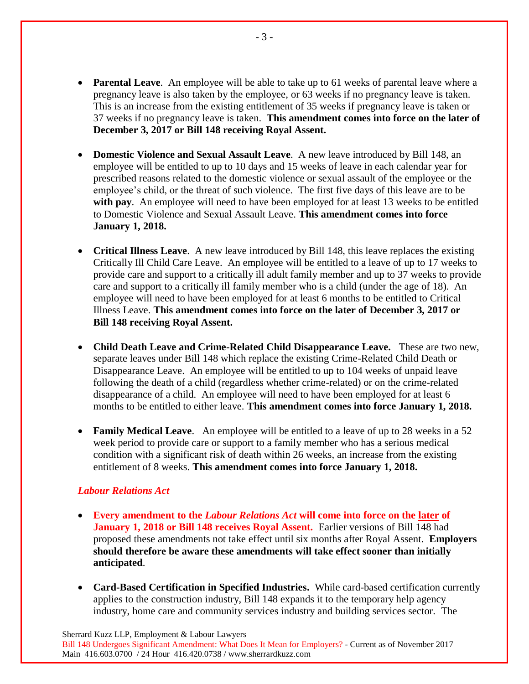- **Parental Leave.** An employee will be able to take up to 61 weeks of parental leave where a pregnancy leave is also taken by the employee, or 63 weeks if no pregnancy leave is taken. This is an increase from the existing entitlement of 35 weeks if pregnancy leave is taken or 37 weeks if no pregnancy leave is taken. **This amendment comes into force on the later of December 3, 2017 or Bill 148 receiving Royal Assent.**
- **Domestic Violence and Sexual Assault Leave**. A new leave introduced by Bill 148, an employee will be entitled to up to 10 days and 15 weeks of leave in each calendar year for prescribed reasons related to the domestic violence or sexual assault of the employee or the employee's child, or the threat of such violence. The first five days of this leave are to be with pay. An employee will need to have been employed for at least 13 weeks to be entitled to Domestic Violence and Sexual Assault Leave. **This amendment comes into force January 1, 2018.**
- **Critical Illness Leave**. A new leave introduced by Bill 148, this leave replaces the existing Critically Ill Child Care Leave. An employee will be entitled to a leave of up to 17 weeks to provide care and support to a critically ill adult family member and up to 37 weeks to provide care and support to a critically ill family member who is a child (under the age of 18). An employee will need to have been employed for at least 6 months to be entitled to Critical Illness Leave. **This amendment comes into force on the later of December 3, 2017 or Bill 148 receiving Royal Assent.**
- **Child Death Leave and Crime-Related Child Disappearance Leave.** These are two new, separate leaves under Bill 148 which replace the existing Crime-Related Child Death or Disappearance Leave. An employee will be entitled to up to 104 weeks of unpaid leave following the death of a child (regardless whether crime-related) or on the crime-related disappearance of a child. An employee will need to have been employed for at least 6 months to be entitled to either leave. **This amendment comes into force January 1, 2018.**
- **Family Medical Leave**. An employee will be entitled to a leave of up to 28 weeks in a 52 week period to provide care or support to a family member who has a serious medical condition with a significant risk of death within 26 weeks, an increase from the existing entitlement of 8 weeks. **This amendment comes into force January 1, 2018.**

### *Labour Relations Act*

- **Every amendment to the** *Labour Relations Act* **will come into force on the later of January 1, 2018 or Bill 148 receives Royal Assent.** Earlier versions of Bill 148 had proposed these amendments not take effect until six months after Royal Assent. **Employers should therefore be aware these amendments will take effect sooner than initially anticipated**.
- **Card-Based Certification in Specified Industries.** While card-based certification currently applies to the construction industry, Bill 148 expands it to the temporary help agency industry, home care and community services industry and building services sector. The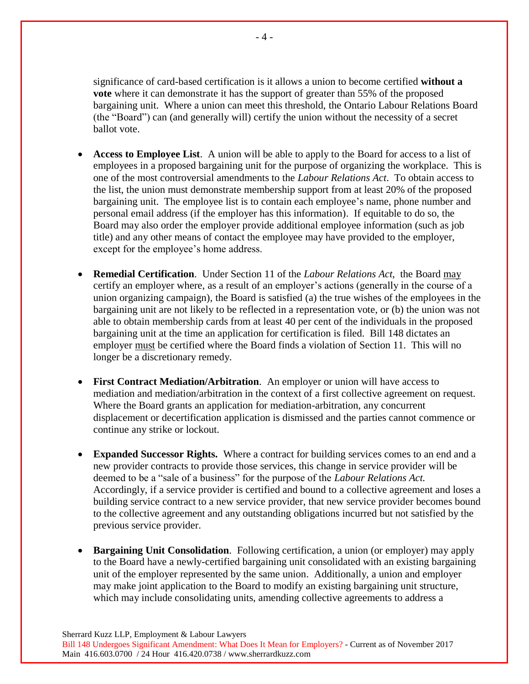significance of card-based certification is it allows a union to become certified **without a vote** where it can demonstrate it has the support of greater than 55% of the proposed bargaining unit. Where a union can meet this threshold, the Ontario Labour Relations Board (the "Board") can (and generally will) certify the union without the necessity of a secret ballot vote.

- **Access to Employee List**. A union will be able to apply to the Board for access to a list of employees in a proposed bargaining unit for the purpose of organizing the workplace. This is one of the most controversial amendments to the *Labour Relations Act*. To obtain access to the list, the union must demonstrate membership support from at least 20% of the proposed bargaining unit. The employee list is to contain each employee's name, phone number and personal email address (if the employer has this information). If equitable to do so, the Board may also order the employer provide additional employee information (such as job title) and any other means of contact the employee may have provided to the employer, except for the employee's home address.
- **Remedial Certification**. Under Section 11 of the *Labour Relations Act,* the Board may certify an employer where, as a result of an employer's actions (generally in the course of a union organizing campaign), the Board is satisfied (a) the true wishes of the employees in the bargaining unit are not likely to be reflected in a representation vote, or (b) the union was not able to obtain membership cards from at least 40 per cent of the individuals in the proposed bargaining unit at the time an application for certification is filed. Bill 148 dictates an employer must be certified where the Board finds a violation of Section 11. This will no longer be a discretionary remedy.
- **First Contract Mediation/Arbitration**. An employer or union will have access to mediation and mediation/arbitration in the context of a first collective agreement on request. Where the Board grants an application for mediation-arbitration, any concurrent displacement or decertification application is dismissed and the parties cannot commence or continue any strike or lockout.
- **Expanded Successor Rights.** Where a contract for building services comes to an end and a new provider contracts to provide those services, this change in service provider will be deemed to be a "sale of a business" for the purpose of the *Labour Relations Act.*  Accordingly, if a service provider is certified and bound to a collective agreement and loses a building service contract to a new service provider, that new service provider becomes bound to the collective agreement and any outstanding obligations incurred but not satisfied by the previous service provider.
- **Bargaining Unit Consolidation**. Following certification, a union (or employer) may apply to the Board have a newly-certified bargaining unit consolidated with an existing bargaining unit of the employer represented by the same union. Additionally, a union and employer may make joint application to the Board to modify an existing bargaining unit structure, which may include consolidating units, amending collective agreements to address a

Sherrard Kuzz LLP, Employment & Labour Lawyers

Bill 148 Undergoes Significant Amendment: What Does It Mean for Employers? - Current as of November 2017 Main 416.603.0700 / 24 Hour 416.420.0738 / www.sherrardkuzz.com